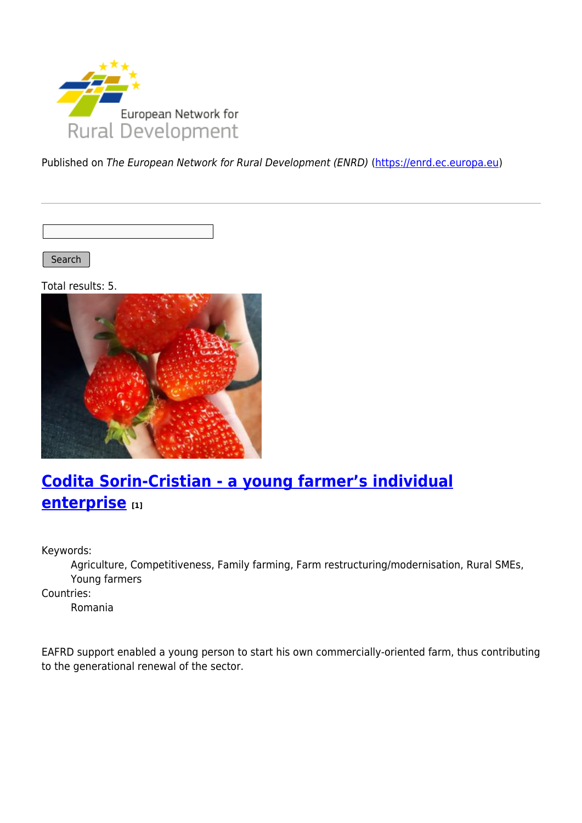

Published on The European Network for Rural Development (ENRD) [\(https://enrd.ec.europa.eu](https://enrd.ec.europa.eu))

Search |

Total results: 5.



# **[Codita Sorin-Cristian - a young farmer's individual](https://enrd.ec.europa.eu/projects-practice/codita-sorin-cristian-young-farmers-individual-enterprise_en) [enterprise](https://enrd.ec.europa.eu/projects-practice/codita-sorin-cristian-young-farmers-individual-enterprise_en) [1]**

Keywords:

Agriculture, Competitiveness, Family farming, Farm restructuring/modernisation, Rural SMEs, Young farmers

Countries:

Romania

EAFRD support enabled a young person to start his own commercially-oriented farm, thus contributing to the generational renewal of the sector.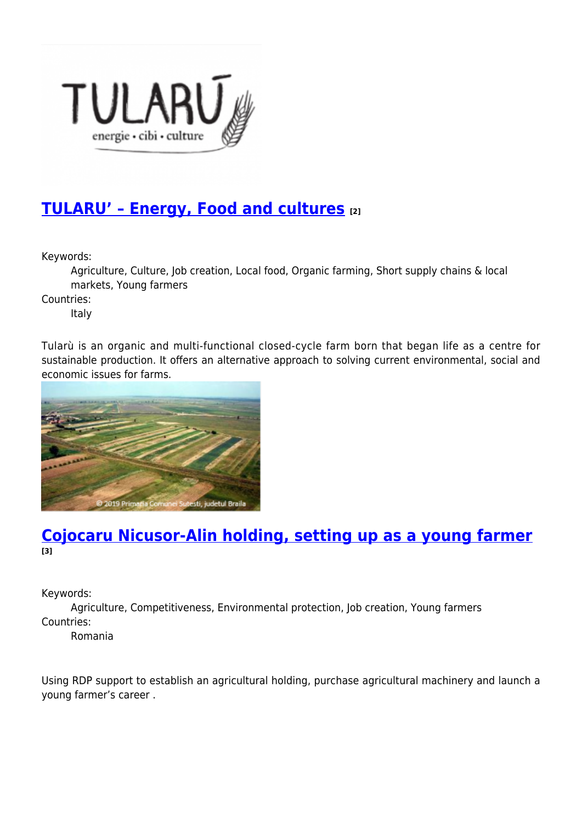

### **[TULARU' – Energy, Food and cultures](https://enrd.ec.europa.eu/projects-practice/tularu-energy-food-and-cultures_en) [2]**

Keywords:

Agriculture, Culture, Job creation, Local food, Organic farming, Short supply chains & local markets, Young farmers

Countries:

Italy

Tularù is an organic and multi-functional closed-cycle farm born that began life as a centre for sustainable production. It offers an alternative approach to solving current environmental, social and economic issues for farms.



### **[Cojocaru Nicusor-Alin holding, setting up as a young farmer](https://enrd.ec.europa.eu/projects-practice/cojocaru-nicusor-alin-holding-setting-young-farmer_en) [3]**

Keywords:

Agriculture, Competitiveness, Environmental protection, Job creation, Young farmers Countries:

Romania

Using RDP support to establish an agricultural holding, purchase agricultural machinery and launch a young farmer's career .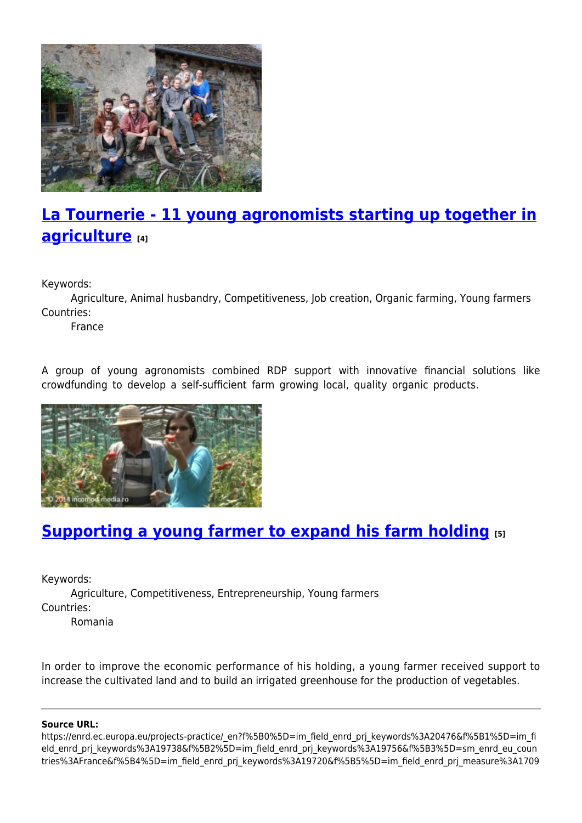

# **[La Tournerie - 11 young agronomists starting up together in](https://enrd.ec.europa.eu/projects-practice/la-tournerie-11-young-agronomists-starting-together-agriculture_en) [agriculture](https://enrd.ec.europa.eu/projects-practice/la-tournerie-11-young-agronomists-starting-together-agriculture_en) [4]**

Keywords:

Agriculture, Animal husbandry, Competitiveness, Job creation, Organic farming, Young farmers Countries:

France

A group of young agronomists combined RDP support with innovative financial solutions like crowdfunding to develop a self-sufficient farm growing local, quality organic products.



## **[Supporting a young farmer to expand his farm holding](https://enrd.ec.europa.eu/projects-practice/supporting-young-farmer-expand-his-farm-holding_en) [5]**

Keywords:

Agriculture, Competitiveness, Entrepreneurship, Young farmers Countries:

Romania

In order to improve the economic performance of his holding, a young farmer received support to increase the cultivated land and to build an irrigated greenhouse for the production of vegetables.

#### **Source URL:**

https://enrd.ec.europa.eu/projects-practice/\_en?f%5B0%5D=im\_field\_enrd\_prj\_keywords%3A20476&f%5B1%5D=im\_fi eld enrd prj keywords%3A19738&f%5B2%5D=im field enrd prj keywords%3A19756&f%5B3%5D=sm enrd eu coun tries%3AFrance&f%5B4%5D=im\_field\_enrd\_prj\_keywords%3A19720&f%5B5%5D=im\_field\_enrd\_prj\_measure%3A1709